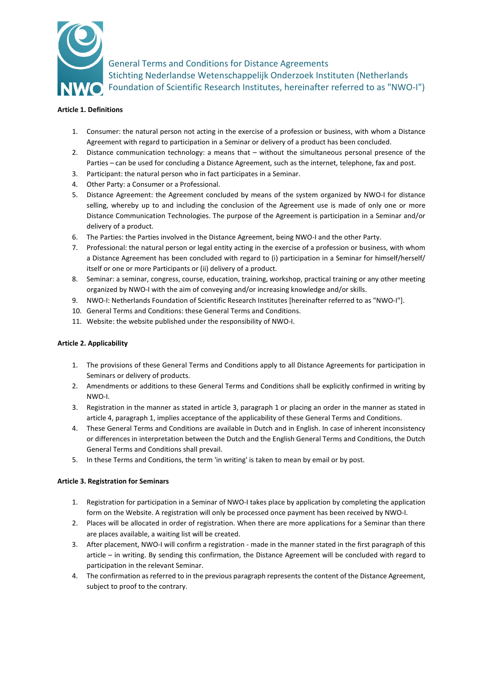

General Terms and Conditions for Distance Agreements Stichting Nederlandse Wetenschappelijk Onderzoek Instituten (Netherlands Foundation of Scientific Research Institutes, hereinafter referred to as "NWO-I")

# **Article 1. Definitions**

- 1. Consumer: the natural person not acting in the exercise of a profession or business, with whom a Distance Agreement with regard to participation in a Seminar or delivery of a product has been concluded.
- 2. Distance communication technology: a means that without the simultaneous personal presence of the Parties – can be used for concluding a Distance Agreement, such as the internet, telephone, fax and post.
- 3. Participant: the natural person who in fact participates in a Seminar.
- 4. Other Party: a Consumer or a Professional.
- 5. Distance Agreement: the Agreement concluded by means of the system organized by NWO-I for distance selling, whereby up to and including the conclusion of the Agreement use is made of only one or more Distance Communication Technologies. The purpose of the Agreement is participation in a Seminar and/or delivery of a product.
- 6. The Parties: the Parties involved in the Distance Agreement, being NWO-I and the other Party.
- 7. Professional: the natural person or legal entity acting in the exercise of a profession or business, with whom a Distance Agreement has been concluded with regard to (i) participation in a Seminar for himself/herself/ itself or one or more Participants or (ii) delivery of a product.
- 8. Seminar: a seminar, congress, course, education, training, workshop, practical training or any other meeting organized by NWO-I with the aim of conveying and/or increasing knowledge and/or skills.
- 9. NWO-I: Netherlands Foundation of Scientific Research Institutes [hereinafter referred to as "NWO-I"].
- 10. General Terms and Conditions: these General Terms and Conditions.
- 11. Website: the website published under the responsibility of NWO-I.

# **Article 2. Applicability**

- 1. The provisions of these General Terms and Conditions apply to all Distance Agreements for participation in Seminars or delivery of products.
- 2. Amendments or additions to these General Terms and Conditions shall be explicitly confirmed in writing by NWO-I.
- 3. Registration in the manner as stated in article 3, paragraph 1 or placing an order in the manner as stated in article 4, paragraph 1, implies acceptance of the applicability of these General Terms and Conditions.
- 4. These General Terms and Conditions are available in Dutch and in English. In case of inherent inconsistency or differences in interpretation between the Dutch and the English General Terms and Conditions, the Dutch General Terms and Conditions shall prevail.
- 5. In these Terms and Conditions, the term 'in writing' is taken to mean by email or by post.

# **Article 3. Registration for Seminars**

- 1. Registration for participation in a Seminar of NWO-I takes place by application by completing the application form on the Website. A registration will only be processed once payment has been received by NWO-I.
- 2. Places will be allocated in order of registration. When there are more applications for a Seminar than there are places available, a waiting list will be created.
- 3. After placement, NWO-I will confirm a registration made in the manner stated in the first paragraph of this article – in writing. By sending this confirmation, the Distance Agreement will be concluded with regard to participation in the relevant Seminar.
- 4. The confirmation as referred to in the previous paragraph represents the content of the Distance Agreement, subject to proof to the contrary.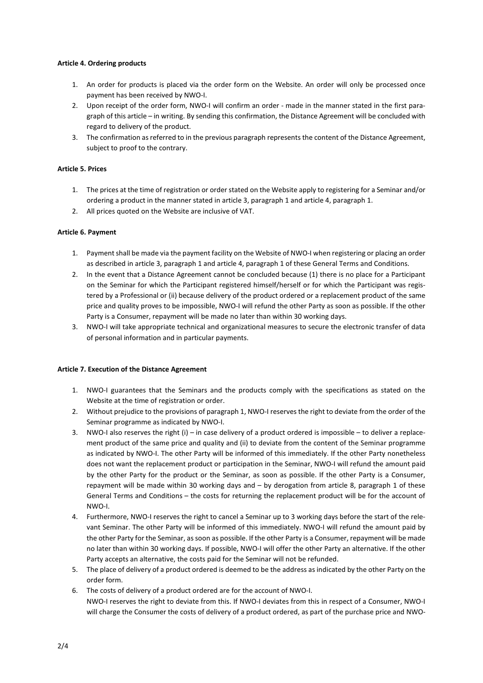# **Article 4. Ordering products**

- 1. An order for products is placed via the order form on the Website. An order will only be processed once payment has been received by NWO-I.
- 2. Upon receipt of the order form, NWO-I will confirm an order made in the manner stated in the first paragraph of this article – in writing. By sending this confirmation, the Distance Agreement will be concluded with regard to delivery of the product.
- 3. The confirmation as referred to in the previous paragraph represents the content of the Distance Agreement, subject to proof to the contrary.

# **Article 5. Prices**

- 1. The prices at the time of registration or order stated on the Website apply to registering for a Seminar and/or ordering a product in the manner stated in article 3, paragraph 1 and article 4, paragraph 1.
- 2. All prices quoted on the Website are inclusive of VAT.

# **Article 6. Payment**

- 1. Payment shall be made via the payment facility on the Website of NWO-I when registering or placing an order as described in article 3, paragraph 1 and article 4, paragraph 1 of these General Terms and Conditions.
- 2. In the event that a Distance Agreement cannot be concluded because (1) there is no place for a Participant on the Seminar for which the Participant registered himself/herself or for which the Participant was registered by a Professional or (ii) because delivery of the product ordered or a replacement product of the same price and quality proves to be impossible, NWO-I will refund the other Party as soon as possible. If the other Party is a Consumer, repayment will be made no later than within 30 working days.
- 3. NWO-I will take appropriate technical and organizational measures to secure the electronic transfer of data of personal information and in particular payments.

# **Article 7. Execution of the Distance Agreement**

- 1. NWO-I guarantees that the Seminars and the products comply with the specifications as stated on the Website at the time of registration or order.
- 2. Without prejudice to the provisions of paragraph 1, NWO-I reserves the right to deviate from the order of the Seminar programme as indicated by NWO-I.
- 3. NWO-I also reserves the right (i) in case delivery of a product ordered is impossible to deliver a replacement product of the same price and quality and (ii) to deviate from the content of the Seminar programme as indicated by NWO-I. The other Party will be informed of this immediately. If the other Party nonetheless does not want the replacement product or participation in the Seminar, NWO-I will refund the amount paid by the other Party for the product or the Seminar, as soon as possible. If the other Party is a Consumer, repayment will be made within 30 working days and – by derogation from article 8, paragraph 1 of these General Terms and Conditions – the costs for returning the replacement product will be for the account of NWO-I.
- 4. Furthermore, NWO-I reserves the right to cancel a Seminar up to 3 working days before the start of the relevant Seminar. The other Party will be informed of this immediately. NWO-I will refund the amount paid by the other Party for the Seminar, as soon as possible. If the other Party is a Consumer, repayment will be made no later than within 30 working days. If possible, NWO-I will offer the other Party an alternative. If the other Party accepts an alternative, the costs paid for the Seminar will not be refunded.
- 5. The place of delivery of a product ordered is deemed to be the address as indicated by the other Party on the order form.
- 6. The costs of delivery of a product ordered are for the account of NWO-I. NWO-I reserves the right to deviate from this. If NWO-I deviates from this in respect of a Consumer, NWO-I will charge the Consumer the costs of delivery of a product ordered, as part of the purchase price and NWO-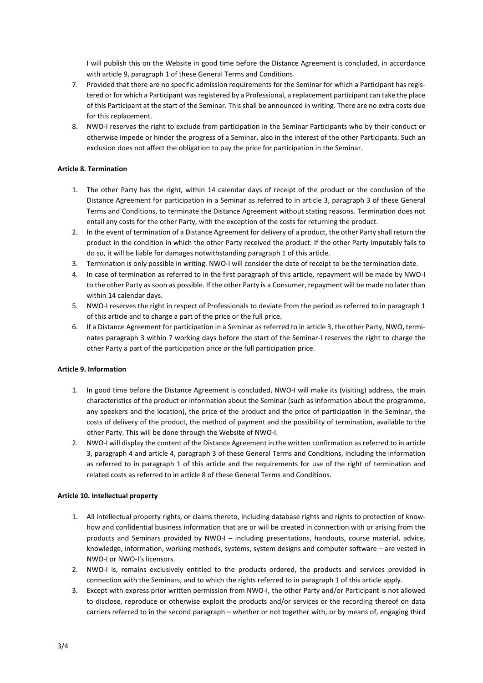I will publish this on the Website in good time before the Distance Agreement is concluded, in accordance with article 9, paragraph 1 of these General Terms and Conditions.

- 7. Provided that there are no specific admission requirements for the Seminar for which a Participant has registered or for which a Participant was registered by a Professional, a replacement participant can take the place of this Participant at the start of the Seminar. This shall be announced in writing. There are no extra costs due for this replacement.
- 8. NWO-I reserves the right to exclude from participation in the Seminar Participants who by their conduct or otherwise impede or hinder the progress of a Seminar, also in the interest of the other Participants. Such an exclusion does not affect the obligation to pay the price for participation in the Seminar.

#### **Article 8. Termination**

- 1. The other Party has the right, within 14 calendar days of receipt of the product or the conclusion of the Distance Agreement for participation in a Seminar as referred to in article 3, paragraph 3 of these General Terms and Conditions, to terminate the Distance Agreement without stating reasons. Termination does not entail any costs for the other Party, with the exception of the costs for returning the product.
- 2. In the event of termination of a Distance Agreement for delivery of a product, the other Party shall return the product in the condition in which the other Party received the product. If the other Party imputably fails to do so, it will be liable for damages notwithstanding paragraph 1 of this article.
- 3. Termination is only possible in writing. NWO-I will consider the date of receipt to be the termination date.
- 4. In case of termination as referred to in the first paragraph of this article, repayment will be made by NWO-I to the other Party as soon as possible. If the other Party is a Consumer, repayment will be made no later than within 14 calendar days.
- 5. NWO-I reserves the right in respect of Professionals to deviate from the period as referred to in paragraph 1 of this article and to charge a part of the price or the full price.
- 6. If a Distance Agreement for participation in a Seminar as referred to in article 3, the other Party, NWO, terminates paragraph 3 within 7 working days before the start of the Seminar-I reserves the right to charge the other Party a part of the participation price or the full participation price.

#### **Article 9. Information**

- 1. In good time before the Distance Agreement is concluded, NWO-I will make its (visiting) address, the main characteristics of the product or information about the Seminar (such as information about the programme, any speakers and the location), the price of the product and the price of participation in the Seminar, the costs of delivery of the product, the method of payment and the possibility of termination, available to the other Party. This will be done through the Website of NWO-I.
- 2. NWO-I will display the content of the Distance Agreement in the written confirmation as referred to in article 3, paragraph 4 and article 4, paragraph 3 of these General Terms and Conditions, including the information as referred to in paragraph 1 of this article and the requirements for use of the right of termination and related costs as referred to in article 8 of these General Terms and Conditions.

#### **Article 10. Intellectual property**

- 1. All intellectual property rights, or claims thereto, including database rights and rights to protection of knowhow and confidential business information that are or will be created in connection with or arising from the products and Seminars provided by NWO-I – including presentations, handouts, course material, advice, knowledge, information, working methods, systems, system designs and computer software – are vested in NWO-I or NWO-I's licensors.
- 2. NWO-I is, remains exclusively entitled to the products ordered, the products and services provided in connection with the Seminars, and to which the rights referred to in paragraph 1 of this article apply.
- 3. Except with express prior written permission from NWO-I, the other Party and/or Participant is not allowed to disclose, reproduce or otherwise exploit the products and/or services or the recording thereof on data carriers referred to in the second paragraph – whether or not together with, or by means of, engaging third